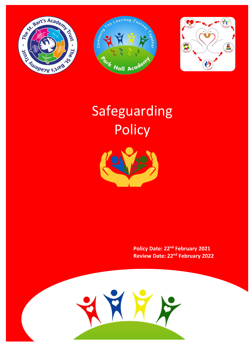





# Safeguarding **Policy**



**Policy Date: 22nd February 2021 Review Date: 22nd February 2022**

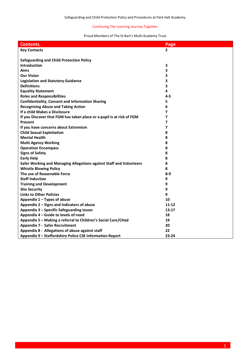# Proud Members of The St Bart's Multi Academy Trust.

| <b>Contents.</b>                                                      | Page         |
|-----------------------------------------------------------------------|--------------|
| <b>Key Contacts</b>                                                   | $\mathbf{2}$ |
|                                                                       |              |
| <b>Safeguarding and Child Protection Policy</b>                       |              |
| Introduction                                                          | 3            |
| <b>Aims</b>                                                           | 3            |
| <b>Our Vision</b>                                                     | 3            |
| <b>Legislation and Statutory Guidance</b>                             | 3            |
| <b>Definitions</b>                                                    | 3            |
| <b>Equality Statement</b>                                             | 4            |
| <b>Roles and Responsibilities</b>                                     | $4 - 5$      |
| <b>Confidentiality, Consent and Information Sharing</b>               | 5            |
| <b>Recognising Abuse and Taking Action</b>                            | 6            |
| If a child Makes a Disclosure                                         | 7            |
| If you Discover that FGM has taken place or a pupil is at risk of FGM | 7            |
| Prevent                                                               | 7            |
| If you have concerns about Extremism                                  | 7            |
| <b>Child Sexual Exploitation</b>                                      | 8            |
| <b>Mental Health</b>                                                  | 8            |
| <b>Multi Agency Working</b>                                           | 8            |
| <b>Operation Encompass</b>                                            | 8            |
| <b>Signs of Safety</b>                                                | 8            |
| <b>Early Help</b>                                                     | 8            |
| Safer Working and Managing Allegations against Staff and Volunteers   | 8            |
| <b>Whistle Blowing Policy</b>                                         | 8            |
| The use of Reasonable Force                                           | $8-9$        |
| <b>Staff Induction</b>                                                | 9            |
| <b>Training and Development</b>                                       | 9            |
| <b>Site Security</b>                                                  | 9            |
| <b>Links to Other Policies</b>                                        | 9            |
| Appendix 1 - Types of abuse                                           | 10           |
| Appendix 2 - Signs and Indicators of abuse                            | $11 - 12$    |
| Appendix 3 - Specific Safeguarding issues                             | $13 - 17$    |
| Appendix 4 - Guide to levels of need                                  | 18           |
| Appendix 5 - Making a referral to Children's Social Care/CHad         | 19           |
| <b>Appendix 7 - Safer Recruitment</b>                                 | 20           |
| Appendix 8 - Allegations of abuse against staff                       | 22           |
| Appendix 9 - Staffordshire Police CSE Information Report              | 23-24        |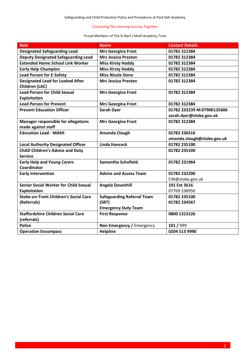# Proud Members of The St Bart's Multi Academy Trust.

| <b>Role</b>                                                                         | <b>Name</b>                       | <b>Contact Details</b>                     |
|-------------------------------------------------------------------------------------|-----------------------------------|--------------------------------------------|
| <b>Designated Safeguarding Lead</b>                                                 | <b>Mrs Georgina Frost</b>         | 01782 312384                               |
| <b>Deputy Designated Safeguarding Lead</b>                                          | <b>Mrs Jessica Preston</b>        | 01782 312384                               |
| <b>Extended Home School Link Worker</b>                                             | <b>Miss Kirsty Hoddy</b>          | 01782 312384                               |
| <b>Early Help Champion</b>                                                          | <b>Miss Kirsty Hoddy</b>          | 01782 312384                               |
| <b>Lead Person for E-Safety</b>                                                     | <b>Miss Nicole Dono</b>           | 01782 312384                               |
| <b>Designated Lead for Looked After</b><br>Children (LAC)                           | <b>Mrs Jessica Preston</b>        | 01782 312384                               |
| <b>Lead Person for Child Sexual</b>                                                 | <b>Mrs Georgina Frost</b>         | 01782 312384                               |
| <b>Exploitation</b>                                                                 |                                   |                                            |
| <b>Lead Person for Prevent</b>                                                      | <b>Mrs Georgina Frost</b>         | 01782 312384                               |
| <b>Prevent Education Officer</b>                                                    | <b>Sarah Dyer</b>                 | 01782 233239 M:07900135606                 |
|                                                                                     |                                   | sarah.dyer@stoke.gov.uk                    |
| <b>Manager responsible for allegations</b>                                          | <b>Mrs Georgina Frost</b>         | 01782 312384                               |
| made against staff<br><b>Education Lead - MASH</b>                                  |                                   |                                            |
|                                                                                     | <b>Amanda Clough</b>              | 01782 236516                               |
|                                                                                     | <b>Linda Hancock</b>              | amanda.clough@stoke.gov.uk<br>01782 235100 |
| <b>Local Authority Designated Officer</b><br><b>ChAD Children's Advice and Duty</b> |                                   | 01782 235100                               |
| <b>Service</b>                                                                      |                                   |                                            |
| <b>Early Help and Young Carers</b><br>Coordinator                                   | <b>Samantha Schofield</b>         | 01782 231964                               |
| <b>Early Intervention</b>                                                           | <b>Advice and Access Team</b>     | 01782 232200                               |
|                                                                                     |                                   | CW@stoke.gov.uk                            |
| <b>Senior Social Worker for Child Sexual</b>                                        | <b>Angela Davenhill</b>           | 101 Ext 3616                               |
| <b>Exploitation</b>                                                                 |                                   | 07769 238950                               |
| <b>Stoke-on-Trent Children's Social Care</b>                                        | <b>Safeguarding Referral Team</b> | 01782 235100                               |
| (Referrals)                                                                         | (SRT)                             | 01782 234567                               |
|                                                                                     | <b>Emergency Duty Team</b>        |                                            |
| <b>Staffordshire Children Social Care</b>                                           | <b>First Response</b>             | 0800 1313126                               |
| (referrals)                                                                         |                                   |                                            |
| <b>Police</b>                                                                       | Non Emergency / Emergency         | 101 / 999                                  |
| <b>Operation Encompass</b>                                                          | <b>Helpline</b>                   | 0204 513 9990                              |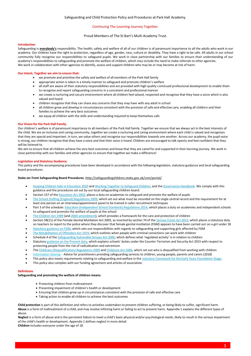## Proud Members of The St Bart's Multi Academy Trust.

#### **Introduction**

Safeguarding is **everybody's** responsibility. The health, safety and welfare of all of our children is of paramount importance to all the adults who work in our academy. Our children have the right to protection, regardless of age, gender, race, culture or disability. They have a right to be safe. All adults in our school community fully recognise our responsibilities to safeguard pupils. We work in close partnership with our families to ensure their understanding of our academy's responsibilities to safeguarding and promote the welfare of children, which may include the need to make referrals to other agencies. We work in collaboration with other agencies to identify, assess and support children who may be or may become at risk of harm.

## **Our Intent. Together we aim to ensure that:**

- we promote and prioritise the safety and welfare of all members of the Park Hall family
- appropriate action is taken in a timely manner to safeguard and promote children's welfare
- all staff are aware of their statutory responsibilities and are provided with high quality continued professional development to enable them to recognise and report safeguarding concerns in a consistent and professional manner
- we create a nurturing and secure environment where all children feel valued, respected and recognise that they have a voice which is also valued and heard
- children recognise that they can share any concerns that they may have with any adult in school
- all children grow and develop in circumstances consistent with the provision of safe and effective care, enabling all children and their families to achieve the very best outcomes
- we equip all children with the skills and understanding required to keep themselves safe

## **Our Vision for the Park Hall Family.**

Our children's welfare is of paramount importance to all members of the Park Hall family. Together we ensure that we always act in the best interests of the child. We are an inclusive and caring community, together we create a nurturing and caring environment where each child is valued and recognises that they are special and important. In turn, we value others and recognise our responsibilities towards one another. Across our academy, the pupil voice is strong, our children recognise that they have a voice and that their voice is heard. Children are encouraged to talk openly and feel confident that they will be listened to.

We aim to ensure that all children achieve the very best outcomes and know that they are cared for and supported in their learning journey. We work in close partnership with our families and other agencies to ensure that together we make a difference!

#### **Legislation and Statutory Guidance.**

This policy and the accompanying procedures have been developed in accordance with the following legislation, statutory guidance and local safeguarding board procedures:

#### **Stoke-on-Trent Safeguarding Board Procedures.<http://safeguardingchildren.stoke.gov.uk/ccm/portal/>**

- [Keeping Children Safe in Education](https://www.gov.uk/government/publications/keeping-children-safe-in-education--2) 2020 and Working Together [to Safeguard Children,](https://www.gov.uk/government/publications/working-together-to-safeguard-children--2) and th[e Governance Handbook.](https://www.gov.uk/government/publications/governance-handbook) We comply with this guidance and the procedures set out by our local safeguarding children board.
- Section 157 of th[e Education Act 2002,](http://www.legislation.gov.uk/ukpga/2002/32/section/175) places a duty on academies to safeguard and promote the welfare of pupils
- [The School Staffing \(England\) Regulations 2009,](http://www.legislation.gov.uk/uksi/2009/2680/contents/made) which set out what must be recorded on the single central record and the requirement for at least one person on an interview/appointment panel to be trained in safer recruitment techniques
- Part 3 of the schedule[: Education \(Independent School Standards\) Regulations 2014,](http://www.legislation.gov.uk/uksi/2014/3283/schedule/part/3/made) which places a duty on academies and independent schools to safeguard and promote the welfare of pupils at the school
- [The Children Act 1989](http://www.legislation.gov.uk/ukpga/1989/41) (an[d 2004 amendment\)](http://www.legislation.gov.uk/ukpga/2004/31/contents), which provides a framework for the care and protection of children
- Section 5B(11) of the Female Genital Mutilation Act 2003, as inserted by section 74 of the [Serious Crime Act 2015,](http://www.legislation.gov.uk/ukpga/2015/9/part/5/crossheading/female-genital-mutilation) which places a statutory duty on teachers to report to the police where they discover that female genital mutilation (FGM) appears to have been carried out on a girl under 18
- [Statutory guidance on FGM,](https://www.gov.uk/government/uploads/system/uploads/attachment_data/file/512906/Multi_Agency_Statutory_Guidance_on_FGM__-_FINAL.pdf) which sets out responsibilities with regards to safeguarding and supporting girls affected by FGM
- [The Rehabilitation of Offenders Act 1974,](http://www.legislation.gov.uk/ukpga/1974/53) which outlines when people with criminal convictions can work with children
- Schedule 4 of th[e Safeguarding Vulnerable Groups Act 2006](http://www.legislation.gov.uk/ukpga/2006/47/schedule/4), which defines what 'regulated activity' is in relation to children
- Statutor[y guidance on the Prevent duty](https://www.gov.uk/government/publications/prevent-duty-guidance), which explains schools' duties under the Counter-Terrorism and Security Act 2015 with respect to protecting people from the risk of radicalisation and extremism
- Th[e Childcare \(Disqualification\) Regulations 2009](http://www.legislation.gov.uk/uksi/2009/1547/pdfs/uksi_20091547_en.pdf) an[d Childcare Act 2006,](http://www.legislation.gov.uk/ukpga/2006/21/contents) which set out who is disqualified from working with children
- [Information Sharing](https://assets.publishing.service.gov.uk/government/uploads/system/uploads/attachment_data/file/721581/Information_sharing_advice_practitioners_safeguarding_services.pdf) Advice for practitioners providing safeguarding services to children, young people, parents and carers (2018)
- This policy also meets requirements relating to safeguarding and welfare in th[e statutory framework for the Early Years Foundation Stage.](https://www.gov.uk/government/publications/early-years-foundation-stage-framework--2)
- This policy also complies with our funding agreement and articles of association.

#### **Definitions**

## **Safeguarding and promoting the welfare of children means**:

- Protecting children from maltreatment
- Preventing impairment of children's health or development
- Ensuring that children grow up in circumstances consistent with the provision of safe and effective care
- Taking action to enable all children to achieve the best outcomes

**Child protection** is part of this definition and refers to activities undertaken to prevent children suffering, or being likely to suffer, significant harm. **Abuse** is a form of maltreatment of a child, and may involve inflicting harm or failing to act to prevent harm. Appendix 1 explains the different types of abuse.

**Neglect** is a form of abuse and is the persistent failure to meet a child's basic physical and/or psychological needs, likely to result in the serious impairment of the child's health or development. Appendix 1 defines neglect in more detail.

**Children** includes everyone under the age of 18.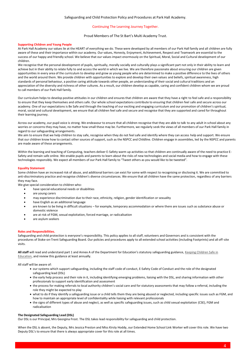## Proud Members of The St Bart's Multi Academy Trust.

#### **Supporting Children and Young People**

At Park Hall Academy our values lie at the HEART of everything we do. These were developed by all members of our Park Hall family and all children are fully aware of these and their importance within our academy. Our values, Honesty, Enjoyment, Achievement, Respect and Teamwork are essential to the success of our happy and friendly school. We believe that our values impact enormously on the Spiritual, Moral, Social and Cultural development of our children.

We recognise that the personal development of pupils, spiritually, morally socially and culturally plays a significant part not only in their ability to learn and achieve but in their ability to relate fully to and access the world in which we live. We are therefore passionate about ensuring our children are given opportunities in every area of the curriculum to develop and grow as young people who are determined to make a positive difference to the lives of others and the world around them. We provide children with opportunities to explore and develop their own values and beliefs, spiritual awareness, high standards of personal behaviour, a positive caring attitude towards other people, an understanding of their social and cultural traditions and an appreciation of the diversity and richness of other cultures. As a result, our children develop as capable, caring and confident children whom we are proud to call members of our Park Hall family.

Our curriculum helps to develop positive attitudes in our children and ensures that children are aware that they have a right to feel safe and a responsibility to ensure that they keep themselves and others safe. Our whole school expectations contribute to ensuring that children feel safe and secure across our academy. One of our expectations is Be Safe and through the teaching of our exciting and engaging curriculum and our promotion of children's spiritual, moral, social and cultural development, we ensure that all children feel safe and secure and recognise that they are supported and cared for throughout their learning journey.

Across our academy, our pupil voice is strong. We endeavour to ensure that all children recognise that they are able to talk to any adult in school about any worries or concerns they may have, no matter how small these may be. Furthermore, we regularly seek the views of all members of our Park Hall family in regard to our safeguarding arrangements.

We aim to ensure that we help children to stay safe, recognise when they do not feel safe and identify where they can access help and support. We ensure that our children know how to contact other sources of support, such as the NSPCC and Childline. Children engage in assemblies, led by the NSPCC and parents are made aware of these arrangements.

Within the learning and teaching of Computing, teachers deliver E-Safety warm up activities so that children are continually aware of the need to practice E-Safety and remain safe online. We enable pupils and parents to learn about the risks of new technologies and social media and how to engage with these technologies responsibly. We expect all members of our Park Hall family to "Tweet others as you would like to be tweeted".

## **Equality Statement**

Some children have an increased risk of abuse, and additional barriers can exist for some with respect to recognising or disclosing it. We are committed to anti-discriminatory practice and recognise children's diverse circumstances. We ensure that all children have the same protection, regardless of any barriers they may face.

We give special consideration to children who:

- have special educational needs or disabilities
- are young carers
- may experience discrimination due to their race, ethnicity, religion, gender identification or sexuality
- have English as an additional language
- are known to be living in difficult situations for example, temporary accommodation or where there are issues such as substance abuse or domestic violence
- are at risk of FGM, sexual exploitation, forced marriage, or radicalisation
- are asylum seekers

#### **Roles and Responsibilities.**

Safeguarding and child protection is everyone's responsibility. This policy applies to all staff, volunteers and Governors and is consistent with the procedures of Stoke-on-Trent Safeguarding Board. Our policies and procedures apply to all extended school activities (including Footprints) and all off-site visits.

All staff will read and understand part 1 and Annex A of the Department for Education's statutory safeguarding guidance, Keeping Children Safe in [Education,](https://www.gov.uk/government/publications/keeping-children-safe-in-education--2) and review this guidance at least annually.

All staff will be aware of:

- our systems which support safeguarding, including the staff code of conduct, E-Safety Code of Conduct and the role of the designated safeguarding lead (DSL)
- the early help process and their role in it, including identifying emerging problems, liaising with the DSL, and sharing information with other professionals to support early identification and assessment
- the process for making referrals to local authority children's social care and for statutory assessments that may follow a referral, including the role they might be expected to play
- what to do if they identify a safeguarding issue or a child tells them they are being abused or neglected, including specific issues such as FGM, and how to maintain an appropriate level of confidentiality while liaising with relevant professionals
- the signs of different types of abuse and neglect, as well as specific safeguarding issues, such as child sexual exploitation (CSE), FGM and radicalisation

#### **The Designated Safeguarding Lead (DSL)**

Our DSL is our Principal, Mrs Georgina Frost. The DSL takes lead responsibility for safeguarding and child protection.

When the DSL is absent, the Deputy, Mrs Jessica Preston and Miss Kirsty Hoddy, our Extended Home School Link Worker will cover this role. We have two Deputy DSL's to ensure that there is always appropriate cover for this role at all times.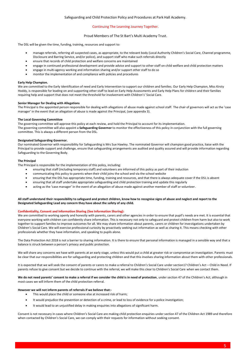## Safeguarding and Child Protection Policy and Procedures at Park Hall Academy.

## Continuing The Learning Journey Together.

## Proud Members of The St Bart's Multi Academy Trust.

The DSL will be given the time, funding, training, resources and support to:

- manage referrals, referring all suspected cases, as appropriate, to the relevant body (Local Authority Children's Social Care, Channel programme, Disclosure and Barring Service, and/or police), and support staff who make such referrals directly
- ensure that records of child protection and welfare concerns are maintained
- engage in continued professional development and provide advice and support to other staff on child welfare and child protection matters
- engage in multi-agency working and information sharing and/or support other staff to do so
- monitor the implementation of and compliance with policies and procedures

#### **Early Help Champion.**

We are committed to the Early Identification of need and Early Intervention to support our children and families. Our Early Help Champion, Miss Kirsty Hoddy, is responsible for leading on and supporting other staff to lead on Early Help Assessments and Early Help Plans for children and their families requiring help and support that does not meet the threshold for involvement with Children's' Social Care.

## **Senior Manager for Dealing with Allegations**

The Principal is the appointed person responsible for dealing with allegations of abuse made against school staff. The chair of governors will act as the 'case manager' in the event that an allegation of abuse is made against the Principal, (see appendix 3).

## **The Local Governing Committee**

The governing committee will approve this policy at each review, and hold the Principal to account for its implementation. The governing committee will also appoint a **Safeguarding Governor** to monitor the effectiveness of this policy in conjunction with the full governing committee. This is always a different person from the DSL.

## **Designated Safeguarding Governor.**

Our nominated Governor with responsibility for Safeguarding is Mrs Sue Hawley. The nominated Governor will champion good practice, liaise with the Principal to provide support and challenge, ensure that safeguarding arrangements are audited and quality assured and will provide information regarding Safeguarding to the Governing Body.

## **The Principal**

The Principal is responsible for the implementation of this policy, including:

- ensuring that staff (including temporary staff) and volunteers are informed of this policy as part of their induction
- communicating this policy to parents when their child joins the school and via the school website
- ensuring that the DSL has appropriate time, funding, training and resources, and that there is always adequate cover if the DSL is absent
- ensuring that all staff undertake appropriate safeguarding and child protection training and update this regularly
- acting as the 'case manager' in the event of an allegation of abuse made against another member of staff or volunteer.

## **All staff understand their responsibility to safeguard and protect children, know how to recognise signs of abuse and neglect and report to the Designated Safeguarding Lead any concern they have about the safety of any child.**

#### **Confidentiality, Consent and Information Sharing (See Information Sharing):**

We are committed to working openly and honestly with parents, carers and other agencies in order to ensure that pupil's needs are met. It is essential that everyone working with children can confidently share information. This is necessary not only to safeguard and protect children from harm but also to work together to support families to improve outcomes for all. We may share information about parents, carers or children for investigations undertaken by Children's Social Care. We will exercise professional curiosity by proactively seeking out information as well as sharing it. This means checking with other professionals whether they have information, and speaking to pupils alone.

The Data Protection Act 2018 is not a barrier to sharing information. It is there to ensure that personal information is managed in a sensible way and that a balance is struck between a person's privacy and public protection.

We will share any concerns we have with parents at an early stage, unless this would put a child at greater risk or compromise an investigation. Parents must be clear that our responsibilities are for safeguarding and protecting children and that this involves sharing information about them with other professionals.

It is expected that we will seek the consent of parents or carers to make a referral to Children's Social Care under section17 Children's Act – Child in Need. If parents refuse to give consent but we decide to continue with the referral, we will make this clear to Children's Social Care when we contact them.

**We do not need parents' consent to make a referral if we consider the child is in need of protection**, under section 47 of the Children's Act; although in most cases we will inform them of the child protection referral.

## **However we will not inform parents of referrals if we believe that:-**

- This would place the child or someone else at increased risk of harm;
- It would prejudice the prevention or detection of a crime, or lead to loss of evidence for a police investigation;
- It would lead to an unjustified delay in making enquiries into allegations of significant harm.

Consent is not necessary in cases where Children's Social Care are making child protection enquiries under section 47 of the Children Act 1989 and therefore when contacted by Children's Social Care, we can comply with their requests for information without seeking consent.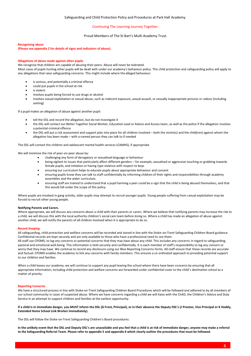## Proud Members of The St Bart's Multi Academy Trust.

#### **Recognising abuse**

**(Please see appendix 2 for details of signs and indicators of abuse).**

## **Allegations of abuse made against other pupils**

We recognise that children are capable of abusing their peers. Abuse will never be tolerated.

Most cases of pupils hurting other pupils will be dealt with under our academy's behaviour policy. This child protection and safeguarding policy will apply to any allegations that raise safeguarding concerns. This might include where the alleged behaviour:

- is serious, and potentially a criminal offence
- could put pupils in the school at risk
- is violent
- involves pupils being forced to use drugs or alcohol
- involves sexual exploitation or sexual abuse, such as indecent exposure, sexual assault, or sexually inappropriate pictures or videos (including sexting)

If a pupil makes an allegation of abuse against another pupil:

- tell the DSL and record the allegation, but do not investigate it
- the DSL will contact our Better Together Social Worker, Education Lead or Advice and Access team, as well as the police if the allegation involves a potential criminal offence
- the DSL will put a risk assessment and support plan into place for all children involved both the victim(s) and the child(ren) against whom the allegation has been made – with a named person they can talk to if needed

The DSL will contact the children and adolescent mental health services (CAMHS), if appropriate

We will minimise the risk of peer-on-peer abuse by:

- challenging any form of derogatory or sexualised language or behaviour
- being vigilant to issues that particularly affect different genders for example, sexualised or aggressive touching or grabbing towards female pupils, and initiation or hazing type violence with respect to boys
- ensuring our curriculum helps to educate pupils about appropriate behaviour and consent
- ensuring pupils know they can talk to staff confidentially by informing children of their rights and responsibilities through academy assemblies and the wider curriculum.
- ensuring staff are trained to understand that a pupil harming a peer could be a sign that the child is being abused themselves, and that this would fall under the scope of this policy.

Where pupils are involved in gang activity, older pupils may attempt to recruit younger pupils. Young people suffering from sexual exploitation may be forced to recruit other young people.

#### **Notifying Parents and Carers.**

Where appropriate, we will discuss any concerns about a child with their parents or carers. Where we believe that notifying parents may increase the risk to a child, we will discuss this with the local authority children's social care team before doing so. Where a child has made an allegation of abuse against another child, we will notify the parents of all children involved when it is appropriate to do so.

#### **Record Keeping**

All safeguarding, child protection and welfare concerns will be recorded and stored in line with the Stoke-on-Trent Safeguarding Children Board guidance. Confidential records are kept securely and are only available to those who have a professional need to see them.

All staff use CPOMS, to log any concerns or potential concerns that they may have about any child. This includes any concerns in regard to safeguarding, pastoral and emotional well-being. This information is held securely and confidentially. It is each member of staff's responsibility to log any concern or worry that they may have. We continue to record any disclosure using our Blue Reporting Concerns forms. All staff ensure that these records are accurate and factual. CPOMS enables the academy to link any concerns with family members. This ensures a co-ordinated approach to providing potential support to our children and families.

When a child leaves our academy, we will continue to support any pupil leaving the school where there have been concerns by ensuring that all appropriate information, including child protection and welfare concerns are forwarded under confidential cover to the child's destination school as a matter of priority.

#### **Reporting Concerns**

We have a structured process in line with Stoke-on-Trent Safeguarding Children Board Procedures which will be followed and adhered to by all members of our school community in cases of suspected abuse. Where we have concerns regarding a child we will liaise with the ChAD, the Children's Advice and Duty Service in an attempt to support children and families at the earliest opportunity.

**If a child is in immediate danger, you MUST inform the DSL (G Frost, Principal), or in their absence the Deputy DSL's (J Preston, Vice Principal or K Hoddy, Extended Home School Link Worker immediately).** 

The DSL will follow the Stoke-on-Trent Safeguarding Children's Board procedures.

**In the unlikely event that the DSL and Deputy DSL's are unavailable and you feel that a child is at risk of immediate danger, anyone may make a referral to the Safeguarding Referral Team. Please refer to appendix 5 and appendix 6 which clearly outline the procedures that must be followed.**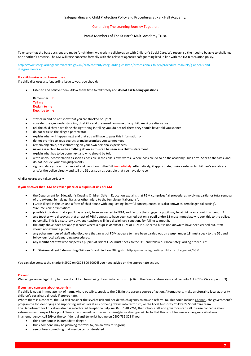## Safeguarding and Child Protection Policy and Procedures at Park Hall Academy.

## Continuing The Learning Journey Together.

Proud Members of The St Bart's Multi Academy Trust.

To ensure that the best decisions are made for children, we work in collaboration with Children's Social Care. We recognise the need to be able to challenge one another's practice. The DSL will raise concerns formally with the relevant agencies safeguarding lead in line with the LSCB escalation policy.

http://www.safeguardingchildren.stoke.gov.uk/ccm/content/safeguarding-children/professionals-folder/procedure-manuals/g-appeals-anddisagreements.en

#### **If a child makes a disclosure to you**

If a child discloses a safeguarding issue to you, you should:

• listen to and believe them. Allow them time to talk freely and **do not ask leading questions**.

Remember TED **Tell me Explain to me Describe to me**

- stay calm and do not show that you are shocked or upset
- consider the age, understanding, disability and preferred language of any child making a disclosure
- tell the child they have done the right thing in telling you, do not tell them they should have told you sooner
- do not criticise the alleged perpetrator
- explain what will happen next and that you will have to pass this information on.
- do not promise to keep secrets or make promises you cannot keep
- remain objective, not elaborating on your own personal experiences
- **never ask a child to write anything down as this can be seen as a child's statement**
- explain what has to be done next and who should be told
- write up your conversation as soon as possible in the child's own words. Where possible do so on the academy Blue Form. Stick to the facts, and do not include your own judgements
- sign and date your written record and pass it on to the DSL immediately. Alternatively, if appropriate, make a referral to children's social care and/or the police directly and tell the DSL as soon as possible that you have done so

#### All disclosures are taken seriously

## **If you discover that FGM has taken place or a pupil is at risk of FGM**

- the Department for Education's Keeping Children Safe in Education explains that FGM comprises "all procedures involving partial or total removal of the external female genitalia, or other injury to the female genital organs".
- FGM is illegal in the UK and a form of child abuse with long-lasting, harmful consequences. It is also known as 'female genital cutting', 'circumcision' or 'initiation'.
- possible indicators that a pupil has already been subjected to FGM, and factors that suggest a pupil may be at risk, are set out in appendix 3.
- **any teacher** who discovers that an act of FGM appears to have been carried out on a **pupil under 18** must immediately report this to the police, personally. This is a statutory duty, and teachers will face disciplinary sanctions for failing to meet it.
- the duty above does not apply in cases where a pupil is *at risk* of FGM or FGM is suspected but is not known to have been carried out. Staff should not examine pupils.
- **any other member of staff** who discovers that an act of FGM appears to have been carried out on a **pupil under 18** must speak to the DSL and follow our local safeguarding procedures.
- **any member of staff** who suspects a pupil is *at risk* of FGM must speak to the DSL and follow our local safeguarding procedures.
- For Stoke-on-Trent Safeguarding Children Board (Section F09) go to[: http://www.safeguardingchildren.stoke.gov.uk/FGM](http://www.safeguardingchildren.stoke.gov.uk/FGM)

You can also contact the charity NSPCC on 0808 800 5000 if you need advice on the appropriate action.

#### **Prevent**

We recognise our legal duty to prevent children from being drawn into terrorism. (s26 of the Counter-Terrorism and Security Act 2015). (See appendix 3)

#### **If you have concerns about extremism**

If a child is not at immediate risk of harm, where possible, speak to the DSL first to agree a course of action. Alternatively, make a referral to local authority children's social care directly if appropriate.

Where there is a concern, the DSL will consider the level of risk and decide which agency to make a referral to. This could includ[e Channel](https://www.gov.uk/government/publications/channel-guidance), the government's programme for identifying and supporting individuals at risk of being drawn into terrorism, or the Local Authority Children's Social Care team. The Department for Education also has a dedicated telephone helpline, 020 7340 7264, that school staff and governors can call to raise concerns about extremism with respect to a pupil. You can also emai[l counter.extremism@education.gov.uk.](mailto:counter.extremism@education.gov.uk) Note that this is not for use in emergency situations. In an emergency, call 999 or the confidential anti-terrorist hotline on 0800 789 321 if you:

- think someone is in immediate danger
- think someone may be planning to travel to join an extremist group
- see or hear something that may be terrorist-related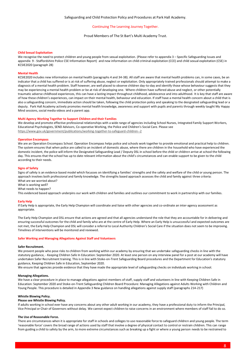Proud Members of The St Bart's Multi Academy Trust.

#### **Child Sexual Exploitation**

We recognise the need to protect children and young people from sexual exploitation. (Please refer to appendix 3 – Specific Safeguarding Issues and appendix 9 - Staffordshire Police CSE Information Report) and new information on child criminal exploitation (CCE) and child sexual exploitation (CSE) in KCSIE2020 (paragraph 28)

#### **Mental Health**

KCSIE2020 includes new information on mental health (paragraphs 4 and 34-38). All staff are aware that mental health problems can, in some cases, be an indicator that a child has suffered or is at risk of suffering abuse, neglect or exploitation. Only appropriately trained professionals should attempt to make a diagnosis of a mental health problem. Staff however, are well placed to observe children day-to-day and identify those whose behaviour suggests that they may be experiencing a mental health problem or be at risk of developing one. Where children have suffered abuse and neglect, or other potentially traumatic adverse childhood experiences, this can have a lasting impact throughout childhood, adolescence and into adulthood. It is key that staff are aware of how these children's experiences, can impact on their mental health, behaviour and education. If staff have a mental health concern about a child that is also a safeguarding concern, immediate action should be taken, following the child protection policy and speaking to the designated safeguarding lead or a deputy. Park Hall Academy actively promotes mental health knowledge, awareness and support with pupils and parents through weekly taught My Happy Mind sessions, social media videos and a parent app.

#### **Multi Agency Working Together to Support Children and their Families**

We develop and promote effective professional relationships with a wide range of agencies including School Nurses, Integrated Family Support Workers, Educational Psychologists, SEND Advisors, Co-operative Working, the Police and Children's Social Care. Please see <https://www.gov.uk/government/publications/working-together-to-safeguard-children--2>

#### **Operation Encompass**

We are an Operation Encompass School. Operation Encompass helps police and schools work together to provide emotional and practical help to children. The system ensures that when police are called to an incident of domestic abuse, where there are children in the household who have experienced the domestic incident, the police will inform the Designated Safeguarding Lead / Deputy DSL in school before the child or children arrive at school the following day. This ensures that the school has up to date relevant information about the child's circumstances and can enable support to be given to the child according to their needs.

#### **Signs of Safety**

Signs of safety is an evidence based model which focusses on identifying a families' strengths and the safety and welfare of the child or young person. The approach involves both professional and family knowledge. The strengths based approach assesses the child and family against three criteria: What are we worried about?

What is working well?

What needs to happen?

This evidenced based approach underpins our work with children and families and outlines our commitment to work in partnership with our families.

#### **Early Help**

If Early Help is appropriate, the Early Help Champion will coordinate and liaise with other agencies and co-ordinate an inter-agency assessment as appropriate.

The Early Help Champion and DSL ensure that actions are agreed and that all agencies understand the role that they are accountable for in delivering and ensuring successful outcomes for the child and family who are at the centre of Early Help. Where an Early Help is unsuccessful and expected outcomes are not met, the Early Help Champion and DSL will consider a referral to Local Authority Children's Social Care if the situation does not seem to be improving. Timelines of interventions will be monitored and reviewed.

#### **Safer Working and Managing Allegations Against Staff and Volunteers**

#### **Safer Recruitment.**

We prevent people who pose risks to children from working within our academy by ensuring that we undertake safeguarding checks in line with the statutory guidance, - Keeping Children Safe In Education: September 2020. At least one person on any interview panel for a post at our academy will have undertaken Safer Recruitment training. This is in line with Stoke-on-Trent Safeguarding Board procedures and the Department for Education's statutory guidance, Keeping Children Safe in Education, September 2020.

We ensure that agencies provide evidence that they have made the appropriate level of safeguarding checks on individuals working in school.

#### **Managing Allegations.**

We have a clear procedure in place to manage allegations against members of staff, supply staff and volunteers in line with Keeping Children Safe in Education: September 2020 and Stoke-on-Trent Safeguarding Children Board Procedure: Managing Allegations against Adults Working with Children and Young People. This procedure is detailed in Appendix 3 New guidance on handling allegations against supply staff (paragraphs 214-217)

#### **Whistle Blowing Policy.**

## **Please see Whistle Blowing Policy.**

If adults working in school ever have any concerns about any other adult working in our academy, they have a professional duty to inform the Principal, Vice Principal or Chair of Governors without delay. We cannot expect children to raise concerns in an environment where members of staff fail to do so.

## **The Use of Reasonable Force.**

There are circumstances when it is appropriate for staff in schools and colleges to use reasonable force to safeguard children and young people. The term 'reasonable force' covers the broad range of actions used by staff that involve a degree of physical contact to control or restrain children. This can range from guiding a child to safety by the arm, to more extreme circumstances such as breaking up a fight or where a young person needs to be restrained to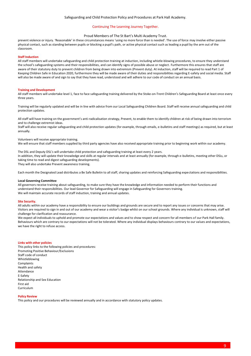## Safeguarding and Child Protection Policy and Procedures at Park Hall Academy.

## Continuing The Learning Journey Together.

#### Proud Members of The St Bart's Multi Academy Trust.

prevent violence or injury. 'Reasonable' in these circumstances means 'using no more force than is needed'. The use of force may involve either passive physical contact, such as standing between pupils or blocking a pupil's path, or active physical contact such as leading a pupil by the arm out of the classroom.

#### **Staff Induction**

All staff members will undertake safeguarding and child protection training at induction, including whistle-blowing procedures, to ensure they understand the school's safeguarding systems and their responsibilities, and can identify signs of possible abuse or neglect. Furthermore this ensures that staff are aware of their statutory duty to prevent children from being drawn into extremism (Prevent duty). At induction, staff will be required to read Part 1 of Keeping Children Safe in Education 2020, furthermore they will be made aware of their duties and responsibilities regarding E-safety and social media. Staff will also be made aware of and sign to say that they have read, understood and will adhere to our code of conduct on an annual basis.

#### **Training and Development**

All staff members will undertake level 1, face to face safeguarding training delivered by the Stoke-on-Trent Children's Safeguarding Board at least once every three years.

Training will be regularly updated and will be in line with advice from our Local Safeguarding Children Board. Staff will receive annual safeguarding and child protection updates.

All staff will have training on the government's anti-radicalisation strategy, Prevent, to enable them to identify children at risk of being drawn into terrorism and to challenge extremist ideas.

Staff will also receive regular safeguarding and child protection updates (for example, through emails, e-bulletins and staff meetings) as required, but at least annually.

#### Volunteers will receive appropriate training.

We will ensure that staff members supplied by third party agencies have also received appropriate training prior to beginning work within our academy.

The DSL and Deputy DSL's will undertake child protection and safeguarding training at least every 2 years. In addition, they will update their knowledge and skills at regular intervals and at least annually (for example, through e-bulletins, meeting other DSLs, or taking time to read and digest safeguarding developments). They will also undertake Prevent awareness training.

Each month the Designated Lead distributes a Be Safe Bulletin to all staff, sharing updates and reinforcing Safeguarding expectations and responsibilities.

#### **Local Governing Committee**

All governors receive training about safeguarding, to make sure they have the knowledge and information needed to perform their functions and understand their responsibilities. Our lead Governor for Safeguarding will engage in Safeguarding for Governors training. We will maintain accurate records of staff induction, training and annual updates.

#### **Site Security.**

All adults within our academy have a responsibility to ensure our buildings and grounds are secure and to report any issues or concerns that may arise. Visitors are required to sign in and out of our academy and wear a visitor's badge whilst on our school grounds. Where any individual is unknown, staff will challenge for clarification and reassurance.

We expect all individuals to uphold and promote our expectations and values and to show respect and concern for all members of our Park Hall family. Behaviours which are contrary to our expectations will not be tolerated. Where any individual displays behaviours contrary to our values and expectations, we have the right to refuse access.

#### **Links with other policies**

This policy links to the following policies and procedures: Promoting Positive Behaviour/Exclusions Staff code of conduct Whistleblowing Complaints Health and safety Attendance E-Safety Relationship and Sex Education First aid Curriculum

#### **Policy Review**

This policy and our procedures will be reviewed annually and in accordance with statutory policy updates.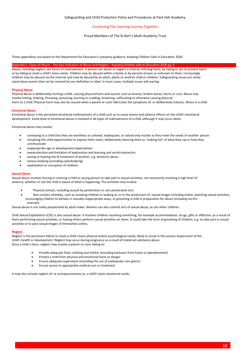Proud Members of The St Bart's Multi Academy Trust.

These appendices are based on the Department for Education's statutory guidance, Keeping Children Safe in Education 2020.

## Appendix 1: Types of Abuse - See also Indicators of Abuse and Neglect – Keeping Children Safe In Education 2020 pg. 8

Abuse, including neglect, are forms of maltreatment. A person can abuse or neglect a child by inflicting harm, by failing to act to prevent harm or by failing to meet a child's basic needs. Children may be abused within a family or by persons known or unknown to them. Increasingly children may be abused via the internet and may be abused by an adult, adults or another child or children. Safeguarding issues are rarely stand alone events that can be covered by one definition or label. In most cases, multiple issues will overlap.

#### **Physical Abuse**

Physical abuse is deliberately hurting a child, causing physical harm and injuries such as bruises, broken bones, burns or cuts. Abuse may involve hitting, shaking, throwing, poisoning, burning or scalding, drowning, suffocating or otherwise causing physical harm to a child. Physical harm may also be caused when a parent or carer fabricates the symptoms of, or deliberately induces, illness in a child.

## **Emotional Abuse**

Emotional abuse is the persistent emotional maltreatment of a child such as to cause severe and adverse effects on the child's emotional development. Some level of emotional abuse is involved in all types of maltreatment of a child, although it may occur alone.

Emotional abuse may involve:

- conveying to a child that they are worthless or unloved, inadequate, or valued only insofar as they meet the needs of another person
- not giving the child opportunities to express their views, deliberately silencing them or 'making fun' of what they say or how they communicate
- inappropriate age or development expectations
- overprotection and limitation of exploration and learning and social interaction
- seeing or hearing the ill-treatment of another, e.g. domestic abuse
- serious bullying (including cyberbullying)
- exploitation or corruption of children

## **Sexual Abuse**

Sexual abuse involves forcing or enticing a child or young person to take part in sexual activities, not necessarily involving a high level of violence, whether or not the child is aware of what is happening. The activities may involve:

- Physical contact, including assault by penetration or non-penetrative acts
- Non-contact activities, such as involving children in looking at, or in the production of, sexual images including online, watching sexual activities, encouraging children to behave in sexually inappropriate ways, or grooming a child in preparation for abuse (including via the internet)

Sexual abuse is not solely perpetrated by adult males. Women can also commit acts of sexual abuse, as can other children.

Child Sexual Exploitation (CSE) is also sexual abuse. It involves children receiving something, for example accommodation, drugs, gifts or affection, as a result of them performing sexual activities, or having others perform sexual activities on them. It could take the form of grooming of children, e.g. to take part in sexual activities or to post sexual images of themselves online.

#### **Neglect**

Neglect is the persistent failure to meet a child's basic physical and/or psychological needs, likely to result in the serious impairment of the child's health or development. Neglect may occur during pregnancy as a result of maternal substance abuse. Once a child is born, neglect may involve a parent or carer failing to:

- Provide adequate food, clothing and shelter (including exclusion from home or abandonment)
- Protect a child from physical and emotional harm or danger
- Ensure adequate supervision (including the use of inadequate care-givers)
- Ensure access to appropriate medical care or treatment

It may also include neglect of, or unresponsiveness to, a child's basic emotional needs.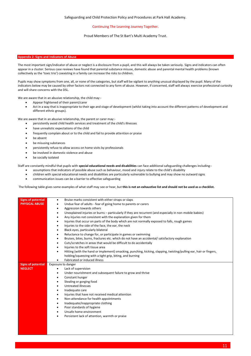## Proud Members of The St Bart's Multi Academy Trust.

## **Appendix 2: Signs and Indicators of Abuse**

The most important sign/indicator of abuse or neglect is a disclosure from a pupil, and this will always be taken seriously. Signs and indicators can often appear in a cluster. Serious case reviews have found that parental substance misuse, domestic abuse and parental mental health problems (known collectively as the 'toxic trio') coexisting in a family can increase the risks to children.

Pupils may show symptoms from one, all, or none of the categories, but staff will be vigilant to anything unusual displayed by the pupil. Many of the indicators below may be caused by other factors not connected to any form of abuse. However, if concerned, staff will always exercise professional curiosity and will share concerns with the DSL.

We are aware that in an abusive relationship, the child may:-

- Appear frightened of their parent/carer
- Act in a way that is inappropriate to their age and stage of development (whilst taking into account the different patterns of development and different ethnic groups).

We are aware that in an abusive relationship, the parent or carer may:-

- persistently avoid child health services and treatment of the child's illnesses
- have unrealistic expectations of the child
- frequently complain about or to the child and fail to provide attention or praise
- be absent
- be misusing substances
- persistently refuse to allow access on home visits by professionals
- be involved in domestic violence and abuse
- be socially isolated

Staff are constantly mindful that pupils with **special educational needs and disabilities** can face additional safeguarding challenges including:-

- assumptions that indicators of possible abuse such as behaviour, mood and injury relate to the child's disability
- children with special educational needs and disabilities are particularly vulnerable to bullying and may show no outward signs
- communication issues can be a barrier to effective safeguarding

The following table gives some examples of what staff may see or hear, but **this is not an exhaustive list and should not be used as a checklist.** 

| <b>Signs of potential</b> | Bruise marks consistent with either straps or slaps<br>$\bullet$                                                                |  |
|---------------------------|---------------------------------------------------------------------------------------------------------------------------------|--|
| <b>PHYSICAL ABUSE</b>     | Undue fear of adults - fear of going home to parents or carers<br>٠                                                             |  |
|                           | Aggression towards others<br>$\bullet$                                                                                          |  |
|                           | Unexplained injuries or burns - particularly if they are recurrent (and especially in non-mobile babies)<br>$\bullet$           |  |
|                           | Any injuries not consistent with the explanation given for them                                                                 |  |
|                           | Injuries that occur on parts of the body which are not normally exposed to falls, rough games                                   |  |
|                           | Injuries to the side of the face, the ear, the neck                                                                             |  |
|                           | Black eyes, particularly bilateral                                                                                              |  |
|                           | Reluctance to change for, or participate in games or swimming                                                                   |  |
|                           | Bruises, bites, burns, fractures etc. which do not have an accidental/ satisfactory explanation                                 |  |
|                           | Cuts/scratches in areas that would be difficult to do accidentally                                                              |  |
|                           | Injuries to the soft tissue area                                                                                                |  |
|                           | Hitting (with the hand or implement) smacking, punching, kicking, slapping, twisting/pulling ear, hair or fingers,<br>$\bullet$ |  |
|                           | holding/squeezing with a tight grip, biting, and burning                                                                        |  |
|                           | Fabricated or induced illness                                                                                                   |  |
|                           | Exposure to danger                                                                                                              |  |
| <b>Signs of potential</b> |                                                                                                                                 |  |
| <b>NEGLECT</b>            | Lack of supervision<br>٠                                                                                                        |  |
|                           | Under nourishment and subsequent failure to grow and thrive<br>$\bullet$                                                        |  |
|                           | Constant hunger<br>$\bullet$                                                                                                    |  |
|                           | Stealing or gorging food                                                                                                        |  |
|                           | Untreated illnesses<br>$\bullet$                                                                                                |  |
|                           | Inadequate care<br>$\bullet$                                                                                                    |  |
|                           | Injuries that have not received medical attention                                                                               |  |
|                           | Non-attendance for health appointments<br>$\bullet$                                                                             |  |
|                           | Inadequate/inappropriate clothing<br>$\bullet$                                                                                  |  |
|                           | Poor standards of hygiene                                                                                                       |  |
|                           | Unsafe home environment                                                                                                         |  |
|                           | Persistent lack of attention, warmth or praise                                                                                  |  |
|                           |                                                                                                                                 |  |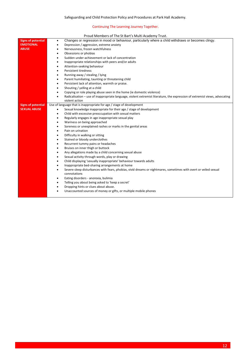## Proud Members of The St Bart's Multi Academy Trust.

|                           | <b>TOWA INCHINGIS OF THE SEBARES INIGHT: ICAGEINY TRUST.</b>                                                                |
|---------------------------|-----------------------------------------------------------------------------------------------------------------------------|
| <b>Signs of potential</b> | Changes or regression in mood or behaviour, particularly where a child withdraws or becomes clingy.<br>$\bullet$            |
| <b>EMOTIONAL</b>          | Depression / aggression, extreme anxiety<br>٠                                                                               |
| <b>ABUSE</b>              | Nervousness, frozen watchfulness<br>$\bullet$                                                                               |
|                           | Obsessions or phobias<br>$\bullet$                                                                                          |
|                           | Sudden under-achievement or lack of concentration<br>٠                                                                      |
|                           | Inappropriate relationships with peers and/or adults<br>$\bullet$                                                           |
|                           | Attention-seeking behaviour<br>٠                                                                                            |
|                           | <b>Persistent tiredness</b><br>٠                                                                                            |
|                           | Running away / stealing / lying<br>٠                                                                                        |
|                           | Parent humiliating, taunting or threatening child<br>$\bullet$                                                              |
|                           | Persistent lack of attention, warmth or praise.<br>$\bullet$                                                                |
|                           | Shouting / yelling at a child<br>٠                                                                                          |
|                           | Copying or role playing abuse seen in the home (ie domestic violence)                                                       |
|                           | Radicalisation - use of inappropriate language, violent extremist literature, the expression of extremist views, advocating |
|                           | violent action                                                                                                              |
| <b>Signs of potential</b> | Use of language that is inappropriate for age / stage of development                                                        |
| <b>SEXUAL ABUSE</b>       | Sexual knowledge inappropriate for their age / stage of development<br>٠                                                    |
|                           | Child with excessive preoccupation with sexual matters<br>$\bullet$                                                         |
|                           | Regularly engages in age inappropriate sexual play<br>$\bullet$                                                             |
|                           | Wariness on being approached<br>٠                                                                                           |
|                           | Soreness or unexplained rashes or marks in the genital areas<br>$\bullet$                                                   |
|                           | Pain on urination<br>$\bullet$                                                                                              |
|                           | Difficulty in walking or sitting<br>$\bullet$                                                                               |
|                           | Stained or bloody underclothes<br>٠                                                                                         |
|                           | Recurrent tummy pains or headaches<br>٠                                                                                     |
|                           | Bruises on inner thigh or buttock<br>٠                                                                                      |
|                           | Any allegations made by a child concerning sexual abuse<br>٠                                                                |
|                           | Sexual activity through words, play or drawing<br>$\bullet$                                                                 |
|                           | Child displaying 'sexually inappropriate' behaviour towards adults<br>$\bullet$                                             |
|                           | Inappropriate bed-sharing arrangements at home<br>٠                                                                         |
|                           | Severe sleep disturbances with fears, phobias, vivid dreams or nightmares, sometimes with overt or veiled sexual            |
|                           | connotations                                                                                                                |
|                           | Eating disorders - anorexia, bulimia<br>$\bullet$                                                                           |
|                           | Telling you about being asked to 'keep a secret'                                                                            |
|                           | Dropping hints or clues about abuse.                                                                                        |
|                           | Unaccounted sources of money or gifts, or multiple mobile phones                                                            |
|                           |                                                                                                                             |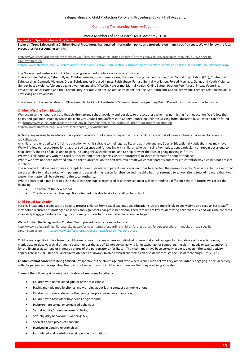## Proud Members of The St Bart's Multi Academy Trust.

## **Appendix 3: Specific Safeguarding Issues**

## **Stoke-on-Trent Safeguarding Children Board Procedures, has detailed information, policy and procedure on many specific issues. We will follow the local procedures for responding to risks.**

[http://www.safeguardingchildren.stoke.gov.uk/ccm/content/safeguarding-children/professionals-folder/procedure-manuals/d---cyp-specific-](http://www.safeguardingchildren.stoke.gov.uk/ccm/content/safeguarding-children/professionals-folder/procedure-manuals/d---cyp-specific-circumstances.en)

## [circumstances.en](http://www.safeguardingchildren.stoke.gov.uk/ccm/content/safeguarding-children/professionals-folder/procedure-manuals/d---cyp-specific-circumstances.en)

<https://www.staffsscb.org.uk/Professionals/Procedures/Section-Four/Section-4-Promoting-the-Welfare-Safety-of-Children-in-Specific-Circumstances.aspx>

#### The Government website, GOV.UK has broad government guidance on a variety of issues.

These include, Bullying, Cyberbullying, Children missing from home or care, Children missing from education, Child Sexual Exploitation (CSE), Contextual Safeguarding, Domestic Violence, Drugs, Fabricated or Induced Illness, Faith abuse, Female Genital Mutilation, Forced Marriage, Gangs and Youth Violence, Gender-based violence/violence against women and girls (VAWG), Hate crime, Mental Health, Online Safety, Peer on Peer Abuse, Private Fostering, Preventing Radicalisation and the Prevent Duty, Serious Violence, Sexual Harassment, Sexting, Self-harm and suicidal behaviour, Teenage relationship abuse, Trafficking and Voyeurism.

The above is not an exhaustive list. Please search the GOV.UK website or Stoke-on-Trent Safeguarding Board Procedures for advice on other issues.

#### **Children Missing from Education**

We recognise the need to ensure that children attend school regularly and our duty to protect those who may go missing from education. We follow the policy and guidance issued by Stoke-on-Trent City Council and Staffordshire County Council on Children Missing from Education (CME) which can be found at:<http://www.safeguardingchildren.stoke.gov.uk/ccm/content/safeguarding-children/education/education.en> [https://www.staffsscb.org.uk/Search.aspx?search\\_keywords=cme](https://www.staffsscb.org.uk/Search.aspx?search_keywords=cme)

A child going missing from education is a potential indicator of abuse or neglect, and such children are at risk of being victims of harm, exploitation or radicalisation.

All children are entitled to a full time education which is suitable to their age, ability and aptitude and any Special Educational Needs that they may have. We will follow our procedures for unauthorised absence and for dealing with children who go missing from education, particularly on repeat occasions, to help identify the risk of abuse and neglect, including sexual exploitation, and to help prevent the risks of going missing in future. We work collaboratively with the Local Authority (and other agencies where appropriate) to share information about attendance.

Where we have not been informed about a child's absence, on the first day, office staff will contact parents and carers to establish why a child is not present

in school.

The school will make all reasonable attempts to communicate with parents and carers in order to ascertain the reason for a child's absence. In the event that we are unable to make contact with parents and ascertain the reason for absence and the child has not returned to school after a total of no more than two weeks, the matter will be referred to the Local Authority.

Where a parent of a pupil notifies the school that the pupil is registered at another school or will be attending a different school in future, we record the following.

- The name of the new school
- The date on which the pupil first attended or is due to start attending that school

## **Child Sexual Exploitation**

Park Hall Academy recognises the need to protect children from sexual exploitation. Education staff are more likely to see victims on a regular basis. Staff may notice recurrent or prolonged absences and significant changes in behaviour. Therefore we are key to identifying children at risk and will raise concerns at an early stage, potentially halting the grooming process before sexual exploitation has begun.

#### We will follow the Safeguarding Children Board procedure which can be found at:

[http://www.safeguardingchildren.stoke.gov.uk/ccm/content/safeguarding-children/professionals-folder/procedure-manuals/d---cyp-specific](http://www.safeguardingchildren.stoke.gov.uk/ccm/content/safeguarding-children/professionals-folder/procedure-manuals/d---cyp-specific-circumstances.en)[circumstances.en](http://www.safeguardingchildren.stoke.gov.uk/ccm/content/safeguarding-children/professionals-folder/procedure-manuals/d---cyp-specific-circumstances.en) [https://www.staffsscb.org.uk/Search.aspx?search\\_keywords=cse](https://www.staffsscb.org.uk/Search.aspx?search_keywords=cse)

Child sexual exploitation is a form of child sexual abuse. It occurs where an individual or group takes advantage of an imbalance of power to coerce, manipulate or deceive a child or young person under the age of 18 into sexual activity (a) in exchange for something the victim needs or wants, and/or (b) for the financial advantage or increased status of the perpetrator or facilitator. The victim may have been sexually exploited even if the sexual activity appears consensual. Child sexual exploitation does not always involve physical contact; it can also occur through the use of technology. (DfE 2017.)

**Children cannot consent to being abused.** Irrespective of the child's age and even where a child may believe they are voluntarily engaging in sexual activity with the person who is exploiting them, it is not uncommon for children not to realise that they are being exploited.

Some of the following signs may be indicators of sexual exploitation:-

- Children with unexplained gifts or new possessions;
- Having multiple mobile phones and worrying about losing contact via mobile phone;
- Children who associate with other young people involved in exploitation;
- Children who have older boyfriends or girlfriends;
- Inappropriate sexual or sexualised behaviour;
- Sexual activity/underage sexual activity;
- Sexually risky behaviour, 'swapping' sex;
- Seen at known places of concern:
- Involved in abusive relationships;
- Intimidated and fearful of certain people or situations;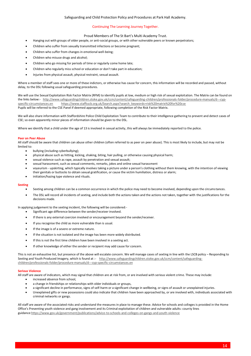## Proud Members of The St Bart's Multi Academy Trust.

- Hanging out with groups of older people, or anti-social groups, or with other vulnerable peers or known perpetrators;
- Children who suffer from sexually transmitted infections or become pregnant;
- Children who suffer from changes in emotional well-being;
- Children who misuse drugs and alcohol;
- Children who go missing for periods of time or regularly come home late;
- Children who regularly miss school or education or don't take part in education;
- Injuries from physical assault, physical restraint, sexual assault.

Where a member of staff sees one or more of these indictors, or otherwise has cause for concern, this information will be recorded and passed, without delay, to the DSL following usual safeguarding procedures.

We will use the Sexual Exploitation Risk Factor Matrix (RFM) to identify pupils at low, medium or high risk of sexual exploitation. The Matrix can be found on the links below:- [http://www.safeguardingchildren.stoke.gov.uk/ccm/content/safeguarding-children/professionals-folder/procedure-manuals/d---cyp](http://www.safeguardingchildren.stoke.gov.uk/ccm/content/safeguarding-children/professionals-folder/procedure-manuals/d---cyp-specific-circumstances.en)[specific-circumstances.en](http://www.safeguardingchildren.stoke.gov.uk/ccm/content/safeguarding-children/professionals-folder/procedure-manuals/d---cyp-specific-circumstances.en) [https://www.staffsscb.org.uk/Search.aspx?search\\_keywords=risk%20matrix%20for%20cse](https://www.staffsscb.org.uk/Search.aspx?search_keywords=risk%20matrix%20for%20cse%20) Pupils will be referred to the CSE Panel if deemed appropriate, following completion of the Risk Factor Matrix.

We will also share information with Staffordshire Police Child Exploitation Team to contribute to their intelligence gathering to prevent and detect cases of CSE; so even apparently minor pieces of information should be given to the DSL.

Where we identify that a child under the age of 13 is involved in sexual activity, this will always be immediately reported to the police.

## **Peer on Peer Abuse**

All staff should be aware that children can abuse other children (often referred to as peer on peer abuse). This is most likely to include, but may not be limited to:

- bullying (including cyberbullying);
- physical abuse such as hitting, kicking, shaking, biting, hair pulling, or otherwise causing physical harm;
- sexual violence such as rape, assault by penetration and sexual assault;
- sexual harassment, such as sexual comments, remarks, jokes and online sexual harassment
- voyeurism upskirting, which typically involves taking a picture under a person's clothing without them knowing, with the intention of viewing their genitals or buttocks to obtain sexual gratification, or cause the victim humiliation, distress or alarm;
- initiation/hazing type violence and rituals.

## **Sexting**

- Sexting among children can be a common occurrence in which the police may need to become involved, depending upon the circumstances.
- The DSL will record all incidents of sexting, and include both the actions taken and the actions not taken, together with the justifications for the decisions made.

In applying judgement to the sexting incident, the following will be considered:-

- Significant age difference between the sender/receiver involved.
- If there is any external coercion involved or encouragement beyond the sender/receiver.
- If you recognise the child as more vulnerable than is usual.
- If the image is of a severe or extreme nature.
- If the situation is not isolated and the image has been more widely distributed.
- If this is not the first time children have been involved in a sexting act.
- If other knowledge of either the sender or recipient may add cause for concern.

This is not an exhaustive list, but presence of the above will escalate concern. We will manage cases of sexting in line with the LSCB policy – Responding to Sexting and Youth Produced Imagery, which is found at :- [http://www.safeguardingchildren.stoke.gov.uk/ccm/content/safeguarding](http://www.safeguardingchildren.stoke.gov.uk/ccm/content/safeguarding-children/professionals-folder/procedure-manuals/d---cyp-specific-circumstances.en)[children/professionals-folder/procedure-manuals/d---cyp-specific-circumstances.en](http://www.safeguardingchildren.stoke.gov.uk/ccm/content/safeguarding-children/professionals-folder/procedure-manuals/d---cyp-specific-circumstances.en)

## **Serious Violence**

All staff are aware of indicators, which may signal that children are at risk from, or are involved with serious violent crime. These may include:

- increased absence from school.
- a change in friendships or relationships with older individuals or groups,
- a significant decline in performance, signs of self-harm or a significant change in wellbeing, or signs of assault or unexplained injuries.
- Unexplained gifts or new possessions could also indicate that children have been approached by, or are involved with, individuals associated with criminal networks or gangs.

All staff are aware of the associated risks and understand the measures in place to manage these. Advice for schools and colleges is provided in the Home Office's Preventing youth violence and gang involvement and its Criminal exploitation of children and vulnerable adults: county lines guidance[:https://www.gov.uk/government/publications/advice-to-schools-and-colleges-on-gangs-and-youth-violence](https://www.gov.uk/government/publications/advice-to-schools-and-colleges-on-gangs-and-youth-violence)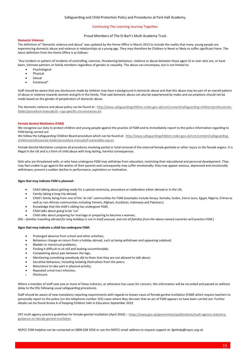## Safeguarding and Child Protection Policy and Procedures at Park Hall Academy.

## Continuing The Learning Journey Together.

## Proud Members of The St Bart's Multi Academy Trust.

## **Domestic Violence**

The definition of "domestic violence and abuse" was updated by the Home Office in March 2013 to include the reality that many young people are experiencing domestic abuse and violence in relationships at a young age. They may therefore be Children in Need or likely to suffer significant harm. The latest definition from the Home Office is as follows:

"Any incident or pattern of incidents of controlling, coercive, threatening behaviour, violence or abuse between those aged 16 or over who are, or have been, intimate partners or family members regardless of gender or sexuality. The abuse can encompass, but is not limited to:

- Psychological
- **Physical**
- Sexual
- Emotional"

Staff should be aware that any disclosures made by children may have a background in domestic abuse and that this abuse may be part of an overall pattern of abuse or violence towards women and girls in the family. That said domestic abuse can also be experienced by males and assumptions should not be made based on the gender of perpetrators of domestic abuse.

The domestic violence and abuse policy can be found at :[-http://www.safeguardingchildren.stoke.gov.uk/ccm/content/safeguarding-children/professionals](http://www.safeguardingchildren.stoke.gov.uk/ccm/content/safeguarding-children/professionals-folder/procedure-manuals/d---cyp-specific-circumstances.en)[folder/procedure-manuals/d---cyp-specific-circumstances.en](http://www.safeguardingchildren.stoke.gov.uk/ccm/content/safeguarding-children/professionals-folder/procedure-manuals/d---cyp-specific-circumstances.en)

## **Female Genital Mutilation (FGM)**

We recognise our duty to protect children and young people against the practice of FGM and to immediately report to the police information regarding to FGM being carried out.

We follow the Safeguarding Children Board procedure which can be found at: [http://www.safeguardingchildren.stoke.gov.uk/ccm/content/safeguarding](http://www.safeguardingchildren.stoke.gov.uk/ccm/content/safeguarding-children/professionals-folder/procedure-manuals/f-vulnerable-cyp.en)[children/professionals-folder/procedure-manuals/f-vulnerable-cyp.en](http://www.safeguardingchildren.stoke.gov.uk/ccm/content/safeguarding-children/professionals-folder/procedure-manuals/f-vulnerable-cyp.en)

Female Genital Mutilation comprise all procedures involving partial or total removal of the external female genitalia or other injury to the female organs. It is illegal in the UK and is a form of child abuse with long lasting, harmful consequences.

Girls who are threatened with, or who have undergone FGM may withdraw from education, restricting their educational and personal development. They may feel unable to go against the wishes of their parents and consequently may suffer emotionally; they may appear anxious, depressed and emotionally withdrawn; present a sudden decline in performance, aspirations or motivation.

## **Signs that may indicate FGM is planned:-**

- Child talking about getting ready for a special ceremony, procedure or celebration either abroad or in the UK;
- Family taking a long trip abroad;
- Child's family being from one of the 'at risk' communities for FGM (examples include Kenya, Somalia, Sudan, Sierra Leon, Egypt, Nigeria, Eritrea as well as non-African communities including Yemeni, Afghani, Kurdistan, Indonesia and Pakistan;)
- Knowledge that the child's sibling has undergone FGM;
- Child talks about going to be 'cut'
- Child talks about preparing for marriage or preparing to become a woman;

*(Nb – families travelling abroad for long holidays is not in itself unusual, and not all families from the above named countries will practice FGM.)* 

## **Signs that may indicate a child has undergone FGM:**

- Prolonged absence from school and other activities;
- Behaviour change on return from a holiday abroad, such as being withdrawn and appearing subdued;
- Bladder or menstrual problems;
- Finding it difficult to sit still and looking uncomfortable;
- Complaining about pain between the legs;
- Mentioning something somebody did to them that they are not allowed to talk about;
- Secretive behaviour, including isolating themselves from the peers;
- Reluctance to take part in physical activity;
- Repeated urinal tract infection;
- Disclosure.

Where a member of staff sees one or more of these indictors, or otherwise has cause for concern, this information will be recorded and passed on without delay to the DSL following usual safeguarding procedures.

Staff should be aware of new mandatory reporting requirements with regards to *known* cases of female genital mutilation (FGM) which require teachers to personally report to the police (on the telephone number 101) cases where they discover that an act of FGM appears to have been carried out. Further details can be found Annex A of Keeping Children Safe in Education September 2019.

DFE multi agency practice guidelines for female-genital-mutilation (April 2016) :- [https://www.gov.uk/government/publications/multi-agency-statutory](https://www.gov.uk/government/publications/multi-agency-statutory-guidance-on-female-genital-mutilation)[guidance-on-female-genital-mutilation.](https://www.gov.uk/government/publications/multi-agency-statutory-guidance-on-female-genital-mutilation)

NSPCC FGM helpline can be contacted on 0800 028 3550 or use the NSPCC email address to request support at: fgmhelp@nspcc.org.uk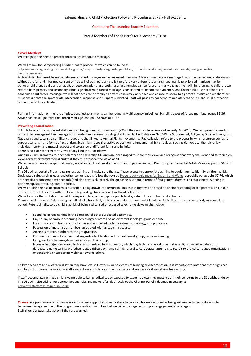## Proud Members of The St Bart's Multi Academy Trust.

#### **Forced Marriage**

We recognise the need to protect children against forced marriage.

#### We will follow the Safeguarding Children Board procedure which can be found at:

[http://www.safeguardingchildren.stoke.gov.uk/ccm/content/safeguarding-children/professionals-folder/procedure-manuals/d---cyp-specific](http://www.safeguardingchildren.stoke.gov.uk/ccm/content/safeguarding-children/professionals-folder/procedure-manuals/d---cyp-specific-circumstances.en)[circumstances.en](http://www.safeguardingchildren.stoke.gov.uk/ccm/content/safeguarding-children/professionals-folder/procedure-manuals/d---cyp-specific-circumstances.en)

A clear distinction must be made between a forced marriage and an arranged marriage. A forced marriage is a marriage that is performed under duress and without the full and informed consent or free will of both parties (and is therefore very different to an arranged marriage. A forced marriage may be between children, a child and an adult, or between adults, and both males and females can be forced to marry against their will. In referring to children, we refer to both primary and secondary school age children. A forced marriage is considered to be domestic violence. One Chance Rule - Where there are concerns about forced marriage, we will not speak to the family as professionals may only have one chance to speak to a potential victim and we therefore must ensure that the appropriate intervention, response and support is initiated. Staff will pass any concerns immediately to the DSL and child protection procedures will be activated.

Further information on the role of educational establishments can be found in Multi-agency guidelines: Handling cases of forced marriage. pages 32-36. Advice can be sought from the Forced Marriage Unit on 020 7008 0151 or

## **Preventing Radicalisation**

Schools have a duty to prevent children from being drawn into terrorism. (s26 of the Counter-Terrorism and Security Act 2015). We recognise the need to protect children against the messages of all violent extremism including that linked to Far Right/Neo Nazi/White Supremacist, Al Qaeda/ISIS ideologies; Irish Nationalist and Loyalist paramilitary groups and that linked to Animal Rights movements. Radicalisation refers to the process by which a person comes to support terrorism and forms of extremism. Extremism is vocal or active opposition to fundamental British values, such as democracy, the rule of law, individual liberty, and mutual respect and tolerance of different faiths and beliefs.

There is no place for extremist views of any kind in our academy.

Our curriculum promotes respect, tolerance and diversity. Children are encouraged to share their views and recognise that everyone is entitled to their own views (except extremist views) and that they must respect the views of all.

We actively promote the spiritual, moral, social and cultural development of our pupils, in line with Promoting Fundamental British Values as part of SMSC in Schools.

The DSL will undertake Prevent awareness training and make sure that staff have access to appropriate training to equip them to identify children at risk. Designated safeguarding leads and other senior leaders follow the revised [Prevent duty guidance: for England and Wales,](https://www.gov.uk/government/publications/prevent-duty-guidance) especially paragraphs 57-76, which are specifically concerned with schools (and also covers childcare). The guidance is set out in terms of four general themes: risk assessment, working in partnership, staff training, and IT policies.

We will assess the risk of children in our school being drawn into terrorism. This assessment will be based on an understanding of the potential risk in our local area, in collaboration with our local safeguarding children board and local police force.

We will ensure that suitable internet filtering is in place, and equip our pupils to stay safe online at school and at home.

There is no single way of identifying an individual who is likely to be susceptible to an extremist ideology. Radicalisation can occur quickly or over a long period. Potential indicators a child is at risk of being radicalised or exposed to extreme views might include:

- Spending increasing time in the company of other suspected extremists.
- Day-to-day behaviour becoming increasingly centered on an extremist ideology, group or cause.
- Loss of interest in friends and activities not associated with the extremist ideology, group or cause.
- Possession of materials or symbols associated with an extremist cause.
- Attempts to recruit others to the group/cause.
- Communications with others that suggests identification with an extremist group, cause or ideology.
- Using insulting to derogatory names for another group.
- Increase in prejudice-related incidents committed by that person, which may include physical or verbal assault; provocative behaviour; derogatory name calling; prejudice related ridicule or name calling; refusal to co-operate; attempts to recruit to prejudice-related organisations; or condoning or supporting violence towards others.

Children who are at risk of radicalisation may have low self-esteem, or be victims of bullying or discrimination. It is important to note that these signs can also be part of normal behaviour – staff should have confidence in their instincts and seek advice if something feels wrong.

If staff become aware that a child is vulnerable to being radicalised or exposed to extreme views they must report their concerns to the DSL without delay. The DSL will liaise with other appropriate agencies and make referrals directly to the Channel Panel if deemed necessary at [prevent@staffordshire.pnn.police.uk](mailto:prevent@staffordshire.pnn.police.uk)

**Channel** is a programme which focuses on providing support at an early stage to people who are identified as being vulnerable to being drawn into terrorism. Engagement with the programme is entirely voluntary but we will encourage and support engagement at all stages. Staff should **always** take action if they are worried.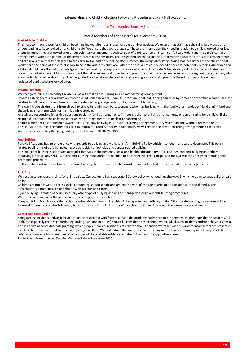## Proud Members of The St Bart's Multi Academy Trust.

## **Looked After Children**

The most common reason for children becoming looked after is as a result of abuse and/or neglect. We ensure that staff have the skills, knowledge and understanding to keep looked after children safe. We ensure that appropriate staff have the information they need in relation to a child's looked after legal status (whether they are looked after under voluntary arrangements with consent of parents or on an interim or full care order) and the child's contact arrangements with birth parents or those with parental responsibility. The Designated Teacher also holds information about the child's care arrangements and the levels of authority delegated to the carer by the authority looking after him/her. The designated safeguarding lead has details of the child's social worker and the name of the virtual school head in the authority that looks after the child. A previously looked after child potentially remains vulnerable and all staff should have the skills, knowledge and understanding to keep previously looked after children safe. When dealing with looked after children and previously looked after children, it is important that all agencies work together and prompt action is taken when necessary to safeguard these children, who are a particularly vulnerable group. The designated teacher alongside teaching and learning support staff, promote the educational achievement of registered pupils who are looked after.

#### **Private Fostering**

We recognise our duty to notify Children's Social Care if a child is living in a private fostering arrangement.

Private Fostering refers to a situation where a child under 16 years (under 18 if they are disabled) is being cared for by someone other than a parent or close relative for 28 days or more. Close relatives are defined as grandparents, aunty, uncle or older sibling).

This can include children sent from abroad to stay with family members, teenagers who may be living with the family of a friend, boyfriend or girlfriend and those living short term with host families while studying.

All staff are responsible for asking questions to clarify family arrangements if there is a change of living arrangements or person caring for a child or if the relationship between the child and carer or living arrangements are unclear or concerning.

Should a member of staff become aware that a child may be living in a Private Fostering arrangement, they will report this without delay to the DSL. The DSL will encourage the parent or carer to inform the Local Authority. Additionally, we will report the private fostering arrangements to the Local Authority by contacting the Safeguarding referral team on 01782 235100.

#### **Anti Bullying**

Park Hall Academy has zero tolerance with regards to bullying and we have an Anti-Bullying Policy which is set out in a separate document. This policy relates to all forms of bullying including cyber, racist, homophobic and gender related bullying.

The subject of bullying is addressed at regular intervals in the personal, social and health education (PSHE) curriculum and anti-bullying assemblies. If bullying is particularly serious, or the anti-bullying procedures are deemed to be ineffective, the Principal and the DSL will consider implementing child protection procedures.

Staff members will neither allow nor condone bullying. To do so may lead to consideration under child protection and disciplinary procedures.

#### **E- Safety**

We recognise our responsibility for online safety. Our academy has a separate E-Safety policy which outlines the ways in which we aim to keep children safe online.

Children are not allowed to access social networking sites in school and are made aware of the age restrictions associated with social media. This information is communicated and shared with parents and carers.

Cyber-bullying is treated as seriously as any other type of bullying and will be managed through our anti-bullying procedures.

We use online forensic software to monitor all computer use in school.

If any adult in school is aware that a child is vulnerable to harm online, this will be reported immediately to the DSL and safeguarding procedures will be followed. In some cases, the Police may become involved if a child is at risk of exploitation due to their use of the internet or social media.

## **Contextual Safeguarding**

Safeguarding incidents and/or behaviours can be associated with factors outside the academy and/or can occur between children outside the academy. All staff, but especially the designated safeguarding lead (and deputies) should be considering the context within which such incidents and/or behaviours occur. This is known as contextual safeguarding, which simply means assessments of children should consider whether wider environmental factors are present in a child's life that are a threat to their safety and/or welfare. We understand the importance of providing as much information as possible as part of the referral process to allow assessments to consider all the available evidence and the full contact of any possible abuse.

For further information see **Keeping [Children Safe in Education 2020](https://assets.publishing.service.gov.uk/government/uploads/system/uploads/attachment_data/file/954314/Keeping_children_safe_in_education_2020_-_Update_-_January_2021.pdf)**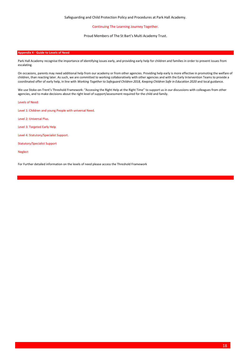Proud Members of The St Bart's Multi Academy Trust.

## **Appendix 4 - Guide to Levels of Need**

Park Hall Academy recognise the importance of identifying issues early, and providing early help for children and families in order to prevent issues from escalating.

On occasions, parents may need additional help from our academy or from other agencies. Providing help early is more effective in promoting the welfare of children, than reacting later. As such, we are committed to working collaboratively with other agencies and with the Early Intervention Teams to provide a coordinated offer of early help, in line with *Working Together to Safeguard Children 2018, Keeping Children Safe in Education 2020* and local guidance.

We use Stoke-on-Trent's Threshold Framework: "Accessing the Right Help at the Right Time" to support us in our discussions with colleagues from other agencies, and to make decisions about the right level of support/assessment required for the child and family.

Levels of Need:

Level 1: Children and young People with universal Need.

Level 2: Universal Plus.

Level 3: Targeted Early Help

Level 4: Statutory/Specialist Support.

Statutory/Specialist Support

Neglect

For Further detailed information on the levels of need please access the Threshold Framework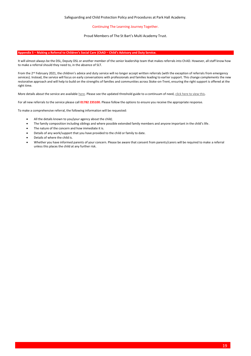## Proud Members of The St Bart's Multi Academy Trust.

## **Appendix 5 – Making a Referral to Children's Social Care (ChAD – Child's Advisory and Duty Service.**

It will almost always be the DSL, Deputy DSL or another member of the senior leadership team that makes referrals into ChAD. However, all staff know how to make a referral should they need to, in the absence of SLT.

From the 2<sup>nd</sup> February 2021, the children's advice and duty service will no longer accept written referrals (with the exception of referrals from emergency services). Instead, the service will focus on early conversations with professionals and families leading to earlier support. This change complements the new restorative approach and will help to build on the strengths of families and communities across Stoke-on-Trent, ensuring the right support is offered at the right time.

More details about the service are availabl[e here.](https://www.stoke.gov.uk/safeguarding) Please see the updated threshold guide to a continuum of need[, click here to view this.](https://www.stoke.gov.uk/safeguarding)

For all new referrals to the service please call **01782 235100.** Please follow the options to ensure you receive the appropriate response.

To make a comprehensive referral, the following information will be requested:

- All the details known to you/your agency about the child;
- The family composition including siblings and where possible extended family members and anyone important in the child's life.
- The nature of the concern and how immediate it is.
- Details of any work/support that you have provided to the child or family to date.
- Details of where the child is.
- Whether you have informed parents of your concern. Please be aware that consent from parents/carers will be required to make a referral unless this places the child at any further risk.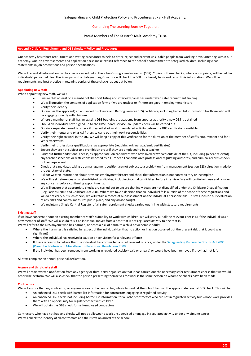## Proud Members of The St Bart's Multi Academy Trust.

#### **Appendix 7: Safer Recruitment and DBS checks – Policy and Procedures**

Our academy has robust recruitment and vetting procedures to help to deter, reject and prevent unsuitable people from working or volunteering within our academy. Our job advertisements and application packs make explicit reference to the school's commitment to safeguard children, including clear statements in job descriptions and person specifications.

We will record all information on the checks carried out in the school's single central record (SCR). Copies of these checks, where appropriate, will be held in individuals' personnel files. The Principal and or Safeguarding Governor will check the SCR on a termly basis and record this information. We follow requirements and best practice in retaining copies of these checks, as set out below.

#### **Appointing new staff**

When appointing new staff, we will:

- Ensure that at least one member of the short listing and interview panel has undertaken safer recruitment training
- We will question the contents of application forms if we are unclear or if there are gaps in employment history
- Verify their identity
- Obtain (via the applicant) an enhanced Disclosure and Barring Service (DBS) certificate, including barred list information for those who will be engaging directly with children
- Where a member of staff has an existing DBS but joins the academy from another authority a new DBS is obtained
- Should an individual have signed up to the DBS Update service, an update check will be carried out
- Obtain a separate barred list check if they will start work in regulated activity before the DBS certificate is available
- Verify their mental and physical fitness to carry out their work responsibilities
- Verify their right to work in the UK. We will keep a copy of this verification for the duration of the member of staff's employment and for 2 years afterwards
- Verify their professional qualifications, as appropriate (requiring original academic certificates)
- Ensure they are not subject to a prohibition order if they are employed to be a teacher
- Carry out further additional checks, as appropriate, on candidates who have lived or worked outside of the UK, including (where relevant) any teacher sanctions or restrictions imposed by a European Economic Area professional regulating authority, and criminal records checks or their equivalent
- Check that candidates taking up a management position are not subject to a prohibition from management (section 128) direction made by the secretary of state.
- Ask for written information about previous employment history and check that information is not contradictory or incomplete
- We will seek references on all short-listed candidates, including internal candidates, before interview. We will scrutinise these and resolve any concerns before confirming appointments.
- We will ensure that appropriate checks are carried out to ensure that individuals are not disqualified under the Childcare Disqualification (Regulations) 2018 and Childcare Act 2006. Where we take a decision that an individual falls outside of the scope of these regulations and we do not carry out such checks, we will retain a record of our assessment on the individual's personnel file. This will include our evaluation of any risks and control measures put in place, and any advice sought.
- We maintain a Single Central Register of all safer recruitment checks carried out in line with statutory requirements.

#### **Existing staff**

If we have concerns about an existing member of staff's suitability to work with children, we will carry out all the relevant checks as if the individual was a new member of staff. We will also do this if an individual moves from a post that is not regulated activity to one that is.

- We will refer to the DBS anyone who has harmed, or poses a risk of harm, to a child or vulnerable adult:
	- Where the 'harm test' is satisfied in respect of the individual (i.e. that no action or inaction occurred but the present risk that it could was significant)
	- Where the individual has received a caution or conviction for a relevant offence
	- If there is reason to believe that the individual has committed a listed relevant offence, under the Safeguarding Vulnerable Groups Act 2006 [\(Prescribed Criteria and Miscellaneous Provisions\) Regulations 2009](http://www.legislation.gov.uk/uksi/2009/37/contents/made)
	- If the individual has been removed from working in regulated activity (paid or unpaid) or would have been removed if they had not left

All staff complete an annual personal declaration.

#### **Agency and third-party staff**

We will obtain written notification from any agency or third-party organisation that it has carried out the necessary safer recruitment checks that we would otherwise perform. We will also check that the person presenting themselves for work is the same person on whom the checks have been made.

#### **Contractors**

We will ensure that any contractor, or any employee of the contractor, who is to work at the school has had the appropriate level of DBS check. This will be:

- An enhanced DBS check with barred list information for contractors engaging in regulated activity
- An enhanced DBS check, not including barred list information, for all other contractors who are not in regulated activity but whose work provides them with an opportunity for regular contact with children
- We will obtain the DBS check for self-employed contractors.

Contractors who have not had any checks will not be allowed to work unsupervised or engage in regulated activity under any circumstances. We will check the identity of all contractors and their staff on arrival at the school.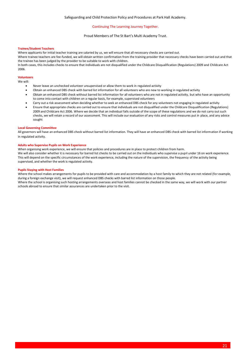## Proud Members of The St Bart's Multi Academy Trust.

## **Trainee/Student Teachers**

Where applicants for initial teacher training are salaried by us, we will ensure that all necessary checks are carried out.

Where trainee teachers are fee-funded, we will obtain written confirmation from the training provider that necessary checks have been carried out and that the trainee has been judged by the provider to be suitable to work with children.

In both cases, this includes checks to ensure that individuals are not disqualified under the Childcare Disqualification (Regulations) 2009 and Childcare Act 2006.

## **Volunteers**

We will:

- Never leave an unchecked volunteer unsupervised or allow them to work in regulated activity
- Obtain an enhanced DBS check with barred list information for all volunteers who are new to working in regulated activity
- Obtain an enhanced DBS check without barred list information for all volunteers who are not in regulated activity, but who have an opportunity to come into contact with children on a regular basis, for example, supervised volunteers
- Carry out a risk assessment when deciding whether to seek an enhanced DBS check for any volunteers not engaging in regulated activity
- Ensure that appropriate checks are carried out to ensure that individuals are not disqualified under the Childcare Disqualification (Regulations) 2009 and Childcare Act 2006. Where we decide that an individual falls outside of the scope of these regulations and we do not carry out such checks, we will retain a record of our assessment. This will include our evaluation of any risks and control measures put in place, and any advice sought

## **Local Governing Committee**

All governors will have an enhanced DBS check without barred list information. They will have an enhanced DBS check with barred list information if working in regulated activity.

## **Adults who Supervise Pupils on Work Experience**

When organising work experience, we will ensure that policies and procedures are in place to protect children from harm. We will also consider whether it is necessary for barred list checks to be carried out on the individuals who supervise a pupil under 16 on work experience. This will depend on the specific circumstances of the work experience, including the nature of the supervision, the frequency of the activity being supervised, and whether the work is regulated activity.

## **Pupils Staying with Host Families**

Where the school makes arrangements for pupils to be provided with care and accommodation by a host family to which they are not related (for example, during a foreign exchange visit), we will request enhanced DBS checks with barred list information on those people.

Where the school is organising such hosting arrangements overseas and host families cannot be checked in the same way, we will work with our partner schools abroad to ensure that similar assurances are undertaken prior to the visit.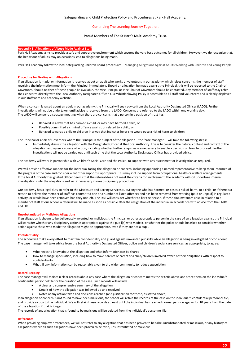## Proud Members of The St Bart's Multi Academy Trust.

## **Appendix 8: Allegations of Abuse Made Against Staff**

Park Hall Academy aims to provide a safe and supportive environment which secures the very best outcomes for all children. However, we do recognise that, the behaviour of adults may on occasions lead to allegations being made.

Park Hall Academy follow the local Safeguarding Children Board procedures - [Managing Allegations Against Adults Working with Children and Young People.](https://www.staffsscb.org.uk/wp-content/uploads/2020/10/Allegations-of-Abuse-made-against-a-Person-who-Works-with-Children-Stoke-only.pdf)

#### **Procedure for Dealing with Allegations**

If an allegation is made, or information is received about an adult who works or volunteers in our academy which raises concerns, the member of staff receiving the information must inform the Principal immediately. Should an allegation be made against the Principal, this will be reported to the Chair of Governors. Should neither of these people be available, the Vice Principal or Vice Chair of Governors should be contacted. Any member of staff may refer their concerns directly with the Local Authority Designated Officer. Our Whistleblowing Policy is accessible to all staff and volunteers and is clearly displayed in our staffroom and academy website.

When a concern is raised about an adult in our academy, the Principal will seek advice from the Local Authority Designated Officer (LADO). Further investigations will not be undertaken until advice is received from the LADO. Concerns are referred to the LADO within one working day. The LADO will convene a strategy meeting when there are concerns that a person in a position of trust has:

- Behaved in a way that has harmed a child, or may have harmed a child, or
- Possibly committed a criminal offence against or related to a child, or
- Behaved towards a child or children in a way that indicates he or she would pose a risk of harm to children

The Principal or Chair of Governors where the Principal is the subject of the allegation – the 'case manager' – will take the following steps:

• Immediately discuss the allegation with the Designated Officer at the Local Authority. This is to consider the nature, content and context of the allegation and agree a course of action, including whether further enquiries are necessary to enable a decision on how to proceed. Further investigations will not be carried out until such time that the Local Authority Designated Officer has provided advice.

The academy will work in partnership with Children's Social Care and the Police, to support with any assessment or investigation as required.

We will provide effective support for the individual facing the allegation or concern, including appointing a named representative to keep them informed of the progress of the case and consider what other support is appropriate. This may include support from occupational health or welfare arrangements. If the Local Authority Designated Officer deems that the referral does not meet the criteria for involvement, the academy will still undertake internal investigations into the allegations and will if necessary invoke disciplinary procedures.

Our academy has a legal duty to refer to the Disclosure and Barring Services (DBS) anyone who has harmed, or poses a risk of harm, to a child, or if there is a reason to believe the member of staff has committed one or a number of listed offences and has been removed from working (paid or unpaid) in regulated activity, or would have been removed had they not left. The DBS will consider whether to bar the person. If these circumstances arise in relation to a member of staff at our school, a referral will be made as soon as possible after the resignation of the individual in accordance with advice from the LADO and HR.

#### **Unsubstantiated or Malicious Allegations**

If an allegation is shown to be deliberately invented, or malicious, the Principal, or other appropriate person in the case of an allegation against the Principal, will consider whether any disciplinary action is appropriate against the pupil(s) who made it, or whether the police should be asked to consider whether action against those who made the allegation might be appropriate, even if they are not a pupil.

#### **Confidentiality**

The school will make every effort to maintain confidentiality and guard against unwanted publicity while an allegation is being investigated or considered. The case manager will take advice from the Local Authority's Designated Officer, police and children's social care services, as appropriate, to agree:

- Who needs to know about the allegation and what information can be shared
- How to manage speculation, including how to make parents or carers of a child/children involved aware of their obligations with respect to confidentiality
- What, if any, information can be reasonably given to the wider community to reduce speculation

#### **Record-keeping**

The case manager will maintain clear records about any case where the allegation or concern meets the criteria above and store them on the individual's confidential personnel file for the duration of the case. Such records will include:

- A clear and comprehensive summary of the allegation
- Details of how the allegation was followed up and resolved
- Notes of any action taken and decisions reached (and justification for these, as stated above)

If an allegation or concern is not found to have been malicious, the school will retain the records of the case on the individual's confidential personnel file, and provide a copy to the individual. We will retain these records at least until the individual has reached normal pension age, or for 10 years from the date of the allegation if that is longer.

The records of any allegation that is found to be malicious will be deleted from the individual's personnel file.

## **References**

When providing employer references, we will not refer to any allegation that has been proven to be false, unsubstantiated or malicious, or any history of allegations where all such allegations have been proven to be false, unsubstantiated or malicious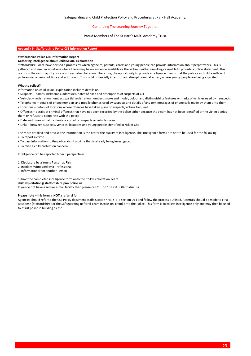## Proud Members of The St Bart's Multi Academy Trust.

## **Appendix 9 - Staffordshire Police CSE Information Report**

## **Staffordshire Police CSE Information Report**

#### **Gathering Intelligence about Child Sexual Exploitation**

Staffordshire Police have devised a process by which agencies, parents, carers and young people can provide information about perpetrators. This is gathered and used in situations where there may be no evidence available or the victim is either unwilling or unable to provide a police statement. This occurs in the vast majority of cases of sexual exploitation. Therefore, the opportunity to provide intelligence means that the police can build a sufficient picture over a period of time and act upon it. This could potentially interrupt and disrupt criminal activity where young people are being exploited.

#### **What to collect?**

Information on child sexual exploitation includes details on:-

- Suspects names, nicknames, addresses, dates of birth and descriptions of suspects of CSE
- Vehicles registration numbers, partial registration numbers, make and model, colour and distinguishing features or marks of vehicles used by suspects
- Telephones details of phone numbers and mobile phones used by suspects and details of any text messages of phone calls made by them or to them
- Locations details of locations where offences have taken place or suspects/victims frequent
- Offences details of criminal offences that have not been recorded by the police either because the victim has not been identified or the victim denies them or refuses to cooperate with the police
- Date and times that incidents occurred or suspects or vehicles seen
- Links between suspects, vehicles, locations and young people identified at risk of CSE

The more detailed and precise the information is the better the quality of intelligence. The intelligence forms are not to be used for the following:

- To report a crime
- To pass information to the police about a crime that is already being investigated
- To raise a child protection concern

Intelligence can be reported from 3 perspectives:

- 1. Disclosure by a Young Person at Risk
- 2. Incident Witnessed by a Professional
- 3. Information from another Person

Submit the completed intelligence form onto the Child Exploitation Team.

#### **childexploitation@staffordshire.pnn.police.uk**

If you do not have a secure e-mail facility then please call CET on 101 ext 3604 to discuss

#### **Please note** – this form is **NOT** a referral form.

Agencies should refer to the CSE Policy document Staffs Section 4Ha, S-o-T Section D14 and follow the process outlined. Referrals should be made to First Response (Staffordshire) or the Safeguarding Referral Team (Stoke-on-Trent) or to the Police. This form is to collect intelligence only and may then be used to assist police in building a case.